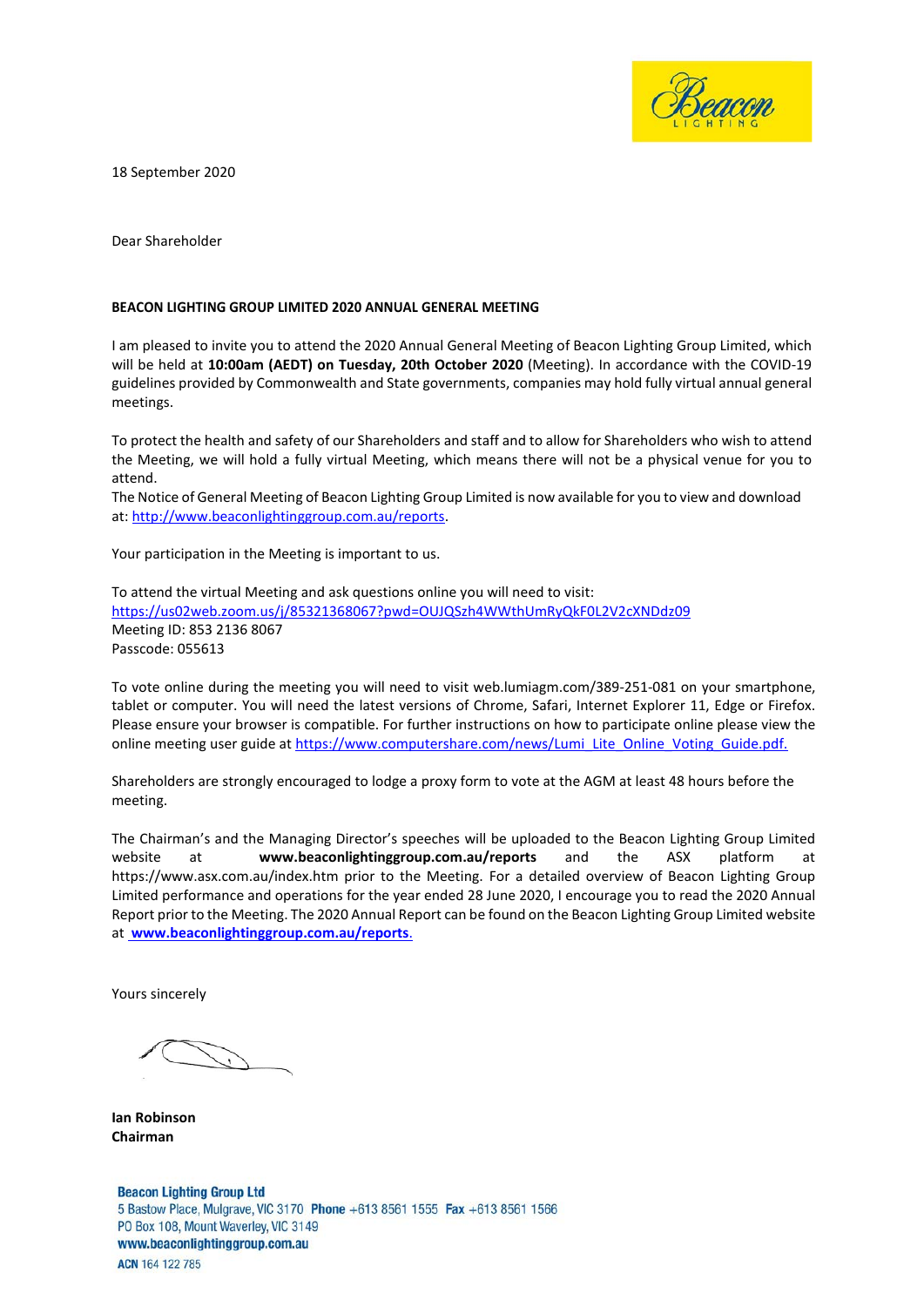

18 September 2020

Dear Shareholder

#### **BEACON LIGHTING GROUP LIMITED 2020 ANNUAL GENERAL MEETING**

I am pleased to invite you to attend the 2020 Annual General Meeting of Beacon Lighting Group Limited, which will be held at **10:00am (AEDT) on Tuesday, 20th October 2020** (Meeting). In accordance with the COVID-19 guidelines provided by Commonwealth and State governments, companies may hold fully virtual annual general meetings.

To protect the health and safety of our Shareholders and staff and to allow for Shareholders who wish to attend the Meeting, we will hold a fully virtual Meeting, which means there will not be a physical venue for you to attend.

The Notice of General Meeting of Beacon Lighting Group Limited is now available for you to view and download at: [http://www.beaconlightinggroup.com.au/reports.](http://www.beaconlightinggroup.com.au/reports)

Your participation in the Meeting is important to us.

To attend the virtual Meeting and ask questions online you will need to visit: <https://us02web.zoom.us/j/85321368067?pwd=OUJQSzh4WWthUmRyQkF0L2V2cXNDdz09> Meeting ID: 853 2136 8067 Passcode: 055613

To vote online during the meeting you will need to visit web.lumiagm.com/389-251-081 on your smartphone, tablet or computer. You will need the latest versions of Chrome, Safari, Internet Explorer 11, Edge or Firefox. Please ensure your browser is compatible. For further instructions on how to participate online please view the online meeting user guide a[t https://www.computershare.com/news/Lumi\\_Lite\\_Online\\_Voting\\_Guide.pdf.](https://www.computershare.com/)

Shareholders are strongly encouraged to lodge a proxy form to vote at the AGM at least 48 hours before the meeting.

[The Chairman's and the Managing Director's s](http://www.ausnetservices.com.au/annual-meetings)peeches will be uploaded to the Beacon Lighting Group Limited website at **www.beaconlightinggroup.com.au/reports** and the ASX platform https:[//www.asx.com.au/index.htm p](http://www.asx.com.au/index.htm)rior to the Meeting. For a detailed overview of Beacon Lighting Group Limited performance and operations for the year ended 28 June 2020, I encourage you to read th[e 2020 Annual](http://www.ausnetservices.com.au/company-reports)  [Report prior to the Meeting. The 2](http://www.ausnetservices.com.au/company-reports)020 Annual Report can be found on the Beacon Lighting Group Limited website at **www.beaconlightinggroup.com.au/reports**.

Yours sincerely

**Ian Robinson Chairman**

**Beacon Lighting Group Ltd** 5 Bastow Place, Mulgrave, VIC 3170 Phone +613 8561 1555 Fax +613 8561 1566 PO Box 108, Mount Waverley, VIC 3149 www.beaconlightinggroup.com.au ACN 164 122 785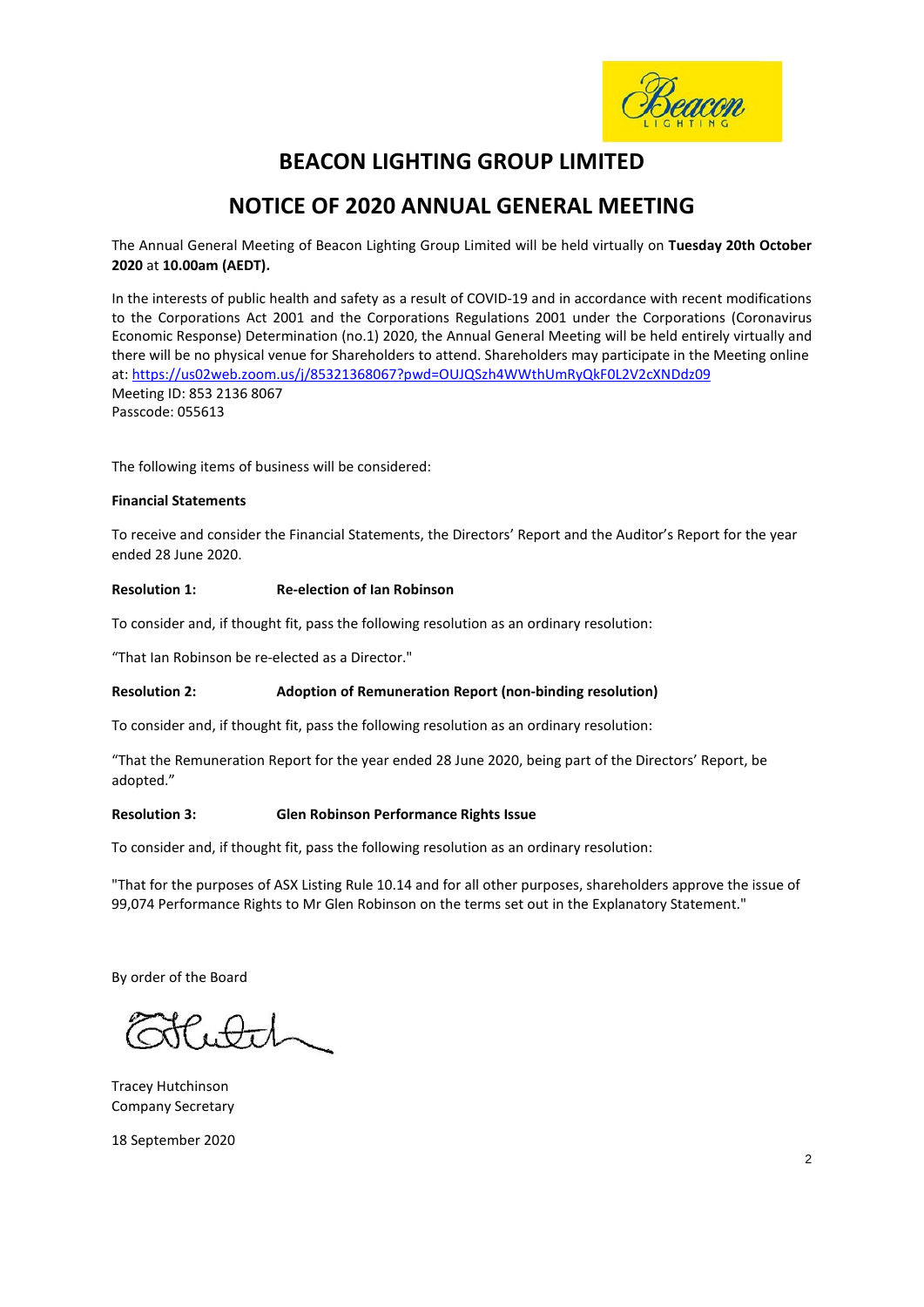

# **BEACON LIGHTING GROUP LIMITED**

# **NOTICE OF 2020 ANNUAL GENERAL MEETING**

The Annual General Meeting of Beacon Lighting Group Limited will be held virtually on **Tuesday 20th October 2020** at **10.00am (AEDT).**

In the interests of public health and safety as a result of COVID-19 and in accordance with recent modifications to the Corporations Act 2001 and the Corporations Regulations 2001 under the Corporations (Coronavirus Economic Response) Determination (no.1) 2020, the Annual General Meeting will be held entirely virtually and there will be no physical venue for Shareholders to attend. Shareholders may participate in the Meeting online at:<https://us02web.zoom.us/j/85321368067?pwd=OUJQSzh4WWthUmRyQkF0L2V2cXNDdz09> Meeting ID: 853 2136 8067 Passcode: 055613

The following items of business will be considered:

#### **Financial Statements**

To receive and consider the Financial Statements, the Directors' Report and the Auditor's Report for the year ended 28 June 2020.

#### **Resolution 1: Re-election of Ian Robinson**

To consider and, if thought fit, pass the following resolution as an ordinary resolution:

"That Ian Robinson be re-elected as a Director."

#### **Resolution 2: Adoption of Remuneration Report (non-binding resolution)**

To consider and, if thought fit, pass the following resolution as an ordinary resolution:

"That the Remuneration Report for the year ended 28 June 2020, being part of the Directors' Report, be adopted."

#### **Resolution 3: Glen Robinson Performance Rights Issue**

To consider and, if thought fit, pass the following resolution as an ordinary resolution:

"That for the purposes of ASX Listing Rule 10.14 and for all other purposes, shareholders approve the issue of 99,074 Performance Rights to Mr Glen Robinson on the terms set out in the Explanatory Statement."

By order of the Board

Eutel

Tracey Hutchinson Company Secretary

18 September 2020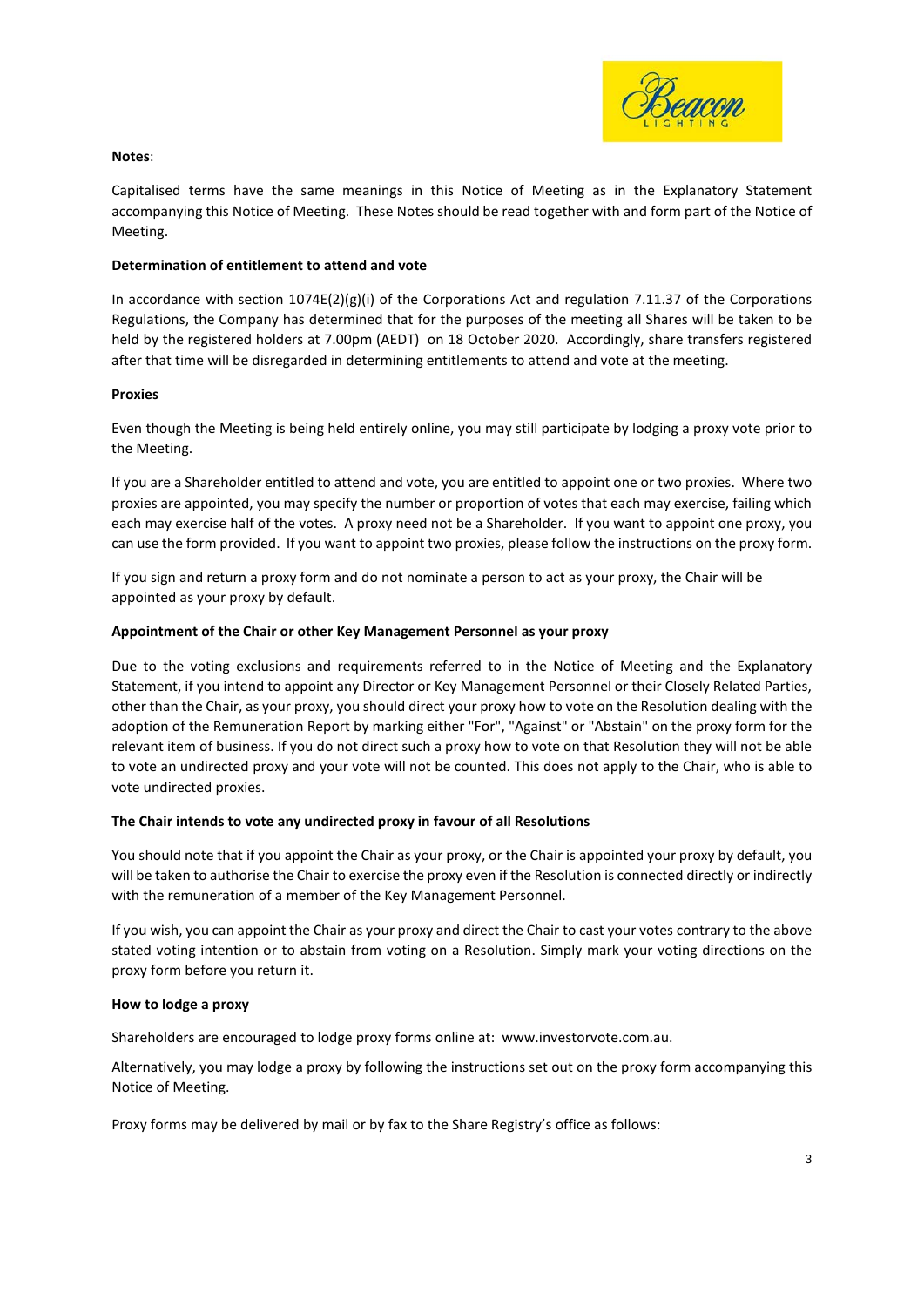

#### **Notes**:

Capitalised terms have the same meanings in this Notice of Meeting as in the Explanatory Statement accompanying this Notice of Meeting. These Notes should be read together with and form part of the Notice of Meeting.

#### **Determination of entitlement to attend and vote**

In accordance with section  $1074E(2)(g)(i)$  of the Corporations Act and regulation 7.11.37 of the Corporations Regulations, the Company has determined that for the purposes of the meeting all Shares will be taken to be held by the registered holders at 7.00pm (AEDT) on 18 October 2020. Accordingly, share transfers registered after that time will be disregarded in determining entitlements to attend and vote at the meeting.

#### **Proxies**

Even though the Meeting is being held entirely online, you may still participate by lodging a proxy vote prior to the Meeting.

If you are a Shareholder entitled to attend and vote, you are entitled to appoint one or two proxies. Where two proxies are appointed, you may specify the number or proportion of votes that each may exercise, failing which each may exercise half of the votes. A proxy need not be a Shareholder. If you want to appoint one proxy, you can use the form provided. If you want to appoint two proxies, please follow the instructions on the proxy form.

If you sign and return a proxy form and do not nominate a person to act as your proxy, the Chair will be appointed as your proxy by default.

#### **Appointment of the Chair or other Key Management Personnel as your proxy**

Due to the voting exclusions and requirements referred to in the Notice of Meeting and the Explanatory Statement, if you intend to appoint any Director or Key Management Personnel or their Closely Related Parties, other than the Chair, as your proxy, you should direct your proxy how to vote on the Resolution dealing with the adoption of the Remuneration Report by marking either "For", "Against" or "Abstain" on the proxy form for the relevant item of business. If you do not direct such a proxy how to vote on that Resolution they will not be able to vote an undirected proxy and your vote will not be counted. This does not apply to the Chair, who is able to vote undirected proxies.

#### **The Chair intends to vote any undirected proxy in favour of all Resolutions**

You should note that if you appoint the Chair as your proxy, or the Chair is appointed your proxy by default, you will be taken to authorise the Chair to exercise the proxy even if the Resolution is connected directly or indirectly with the remuneration of a member of the Key Management Personnel.

If you wish, you can appoint the Chair as your proxy and direct the Chair to cast your votes contrary to the above stated voting intention or to abstain from voting on a Resolution. Simply mark your voting directions on the proxy form before you return it.

#### **How to lodge a proxy**

Shareholders are encouraged to lodge proxy forms online at: [www.investorvote.com.au.](http://www.investorvote.com.au/)

Alternatively, you may lodge a proxy by following the instructions set out on the proxy form accompanying this Notice of Meeting.

Proxy forms may be delivered by mail or by fax to the Share Registry's office as follows: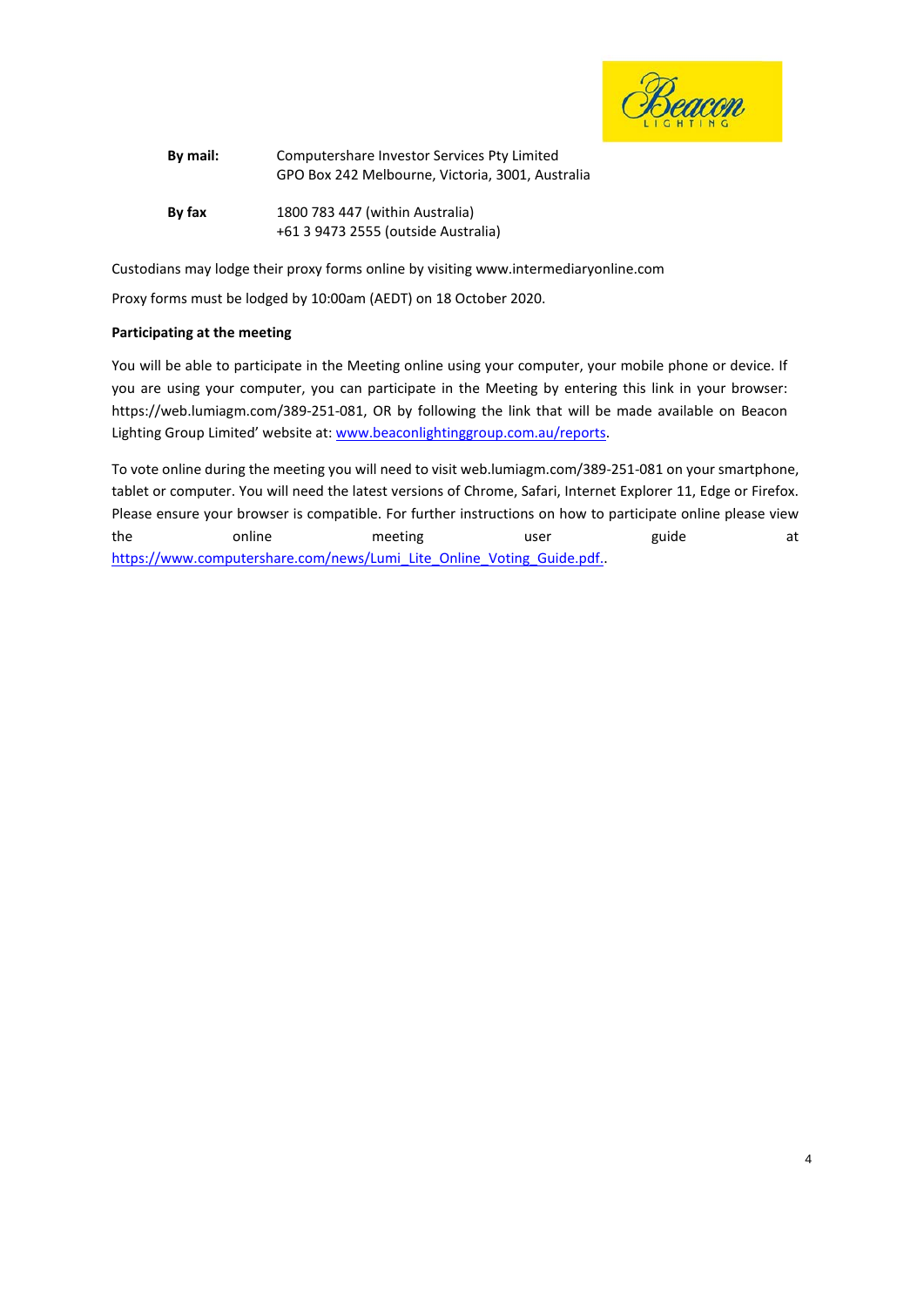

| By mail: | Computershare Investor Services Pty Limited      |  |  |
|----------|--------------------------------------------------|--|--|
|          | GPO Box 242 Melbourne, Victoria, 3001, Australia |  |  |
| By fax   | 1800 783 447 (within Australia)                  |  |  |
|          | +61 3 9473 2555 (outside Australia)              |  |  |

Custodians may lodge their proxy forms online by visitin[g www.intermediaryonline.com](http://www.intermediaryonline.com/)

Proxy forms must be lodged by 10:00am (AEDT) on 18 October 2020.

#### **Participating at the meeting**

You will be able to participate in the Meeting online using your computer, your mobile phone or device. If you are using your computer, you can participate in the Meeting by entering this link in your browser: https:[//web.lumiagm.com/389-251-081,](https://web.lumiagm.com/332534070) OR by following the link that will be made available on Beacon Lighting Group Limited' website at[: www.beaconlightinggroup.com.au/reports.](http://www.beaconlightinggroup.com.au/reports)

To vote online during the meeting you will need to visit web.lumiagm.com/389-251-081 on your smartphone, tablet or computer. You will need the latest versions of Chrome, Safari, Internet Explorer 11, Edge or Firefox. Please ensure your browser is compatible. For further instructions on how to participate online please view the online meeting user guide at [https://www.computershare.com/news/Lumi\\_Lite\\_Online\\_Voting\\_Guide.pdf.](https://www.computershare.com/)..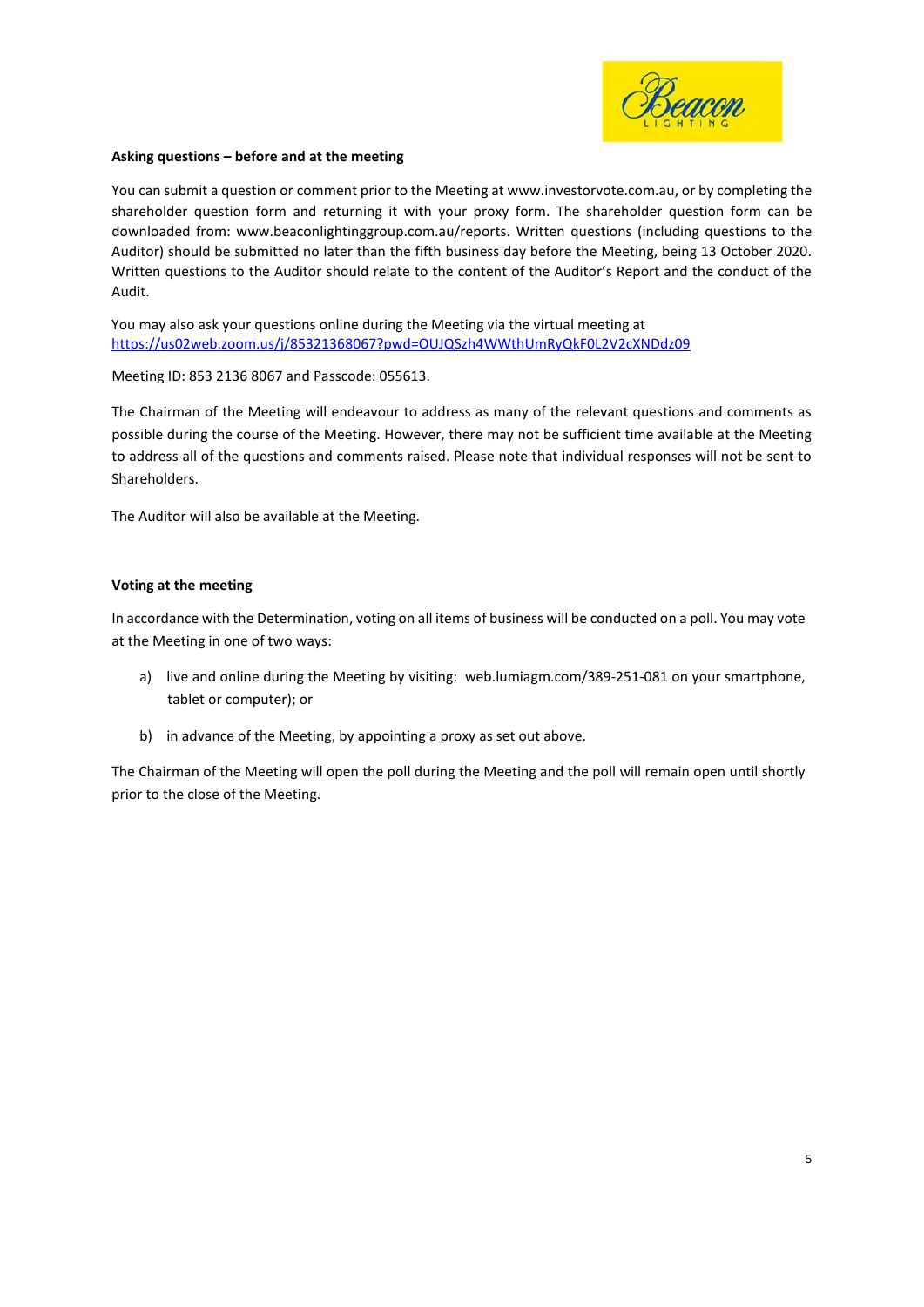

#### **Asking questions – before and at the meeting**

You can submit a question or comment prior to the Meeting at [www.investorvote.com.au, o](http://www.investorvote.com.au/)r by completing the shareholder question form and returning it with your proxy form. The shareholder question form can be downloaded from: [www.beaconlightinggroup.com.au/r](http://www.beaconlightinggroup.com.au/)eports. Written questions (including questions to the Auditor) should be submitted no later than the fifth business day before the Meeting, being 13 October 2020. Written questions to the Auditor should relate to the content of the Auditor's Report and the conduct of the Audit.

You may also ask your questions online during the Meeting via the virtual meeting at <https://us02web.zoom.us/j/85321368067?pwd=OUJQSzh4WWthUmRyQkF0L2V2cXNDdz09>

Meeting ID: 853 2136 8067 and Passcode: 055613.

The Chairman of the Meeting will endeavour to address as many of the relevant questions and comments as possible during the course of the Meeting. However, there may not be sufficient time available at the Meeting to address all of the questions and comments raised. Please note that individual responses will not be sent to Shareholders.

The Auditor will also be available at the Meeting.

#### **Voting at the meeting**

In accordance with the Determination, voting on all items of business will be conducted on a poll. You may vote at the Meeting in one of two ways:

- a) live and online during the Meeting by visiting: web.lumiagm.com/389-251-081 on your smartphone, tablet or computer); or
- b) in advance of the Meeting, by appointing a proxy as set out above.

The Chairman of the Meeting will open the poll during the Meeting and the poll will remain open until shortly prior to the close of the Meeting.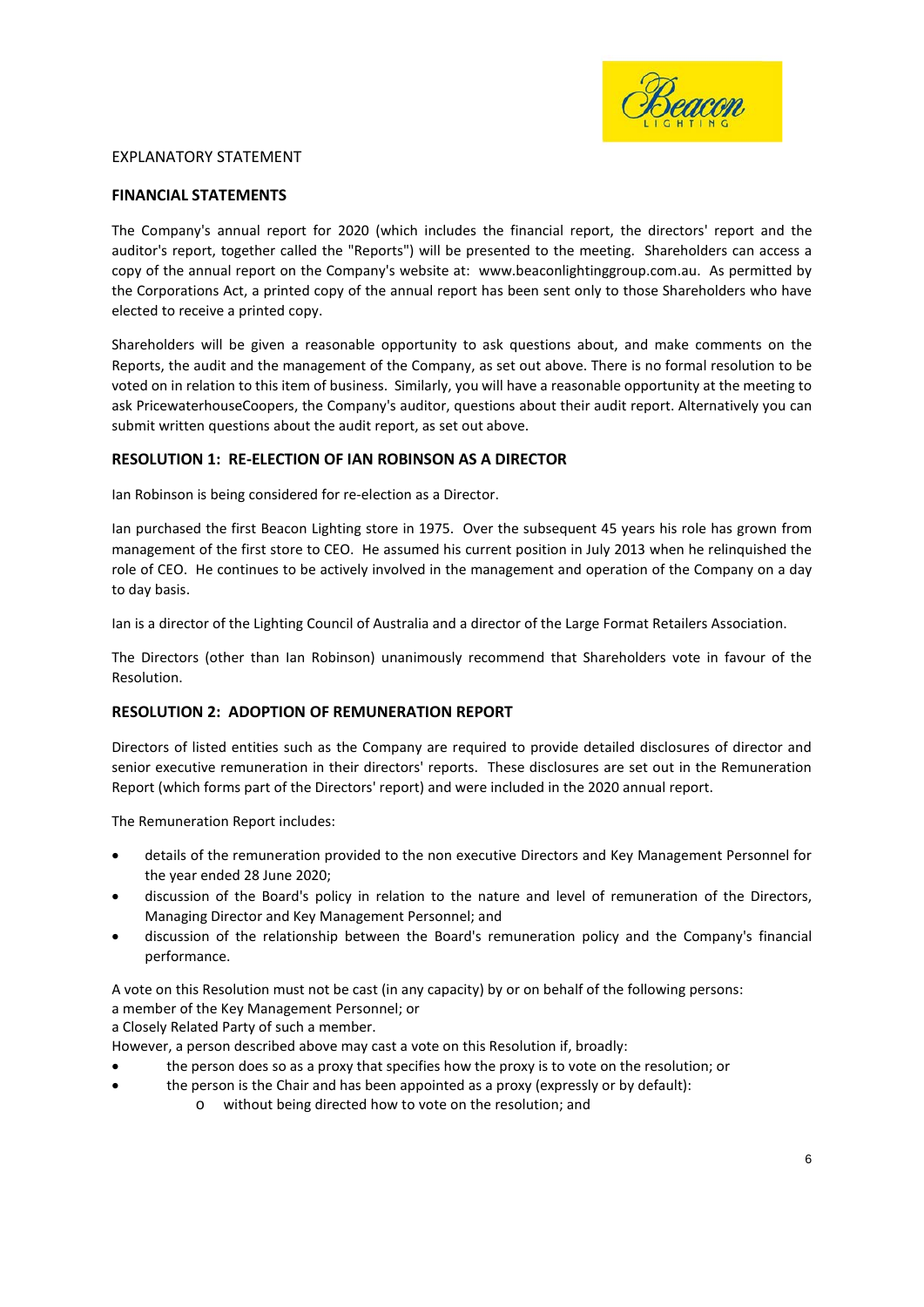

#### EXPLANATORY STATEMENT

#### **FINANCIAL STATEMENTS**

The Company's annual report for 2020 (which includes the financial report, the directors' report and the auditor's report, together called the "Reports") will be presented to the meeting. Shareholders can access a copy of the annual report on the Company's website at: www.beaconlightinggroup.com.au. As permitted by the Corporations Act, a printed copy of the annual report has been sent only to those Shareholders who have elected to receive a printed copy.

Shareholders will be given a reasonable opportunity to ask questions about, and make comments on the Reports, the audit and the management of the Company, as set out above. There is no formal resolution to be voted on in relation to this item of business. Similarly, you will have a reasonable opportunity at the meeting to ask PricewaterhouseCoopers, the Company's auditor, questions about their audit report. Alternatively you can submit written questions about the audit report, as set out above.

#### **RESOLUTION 1: RE-ELECTION OF IAN ROBINSON AS A DIRECTOR**

Ian Robinson is being considered for re-election as a Director.

Ian purchased the first Beacon Lighting store in 1975. Over the subsequent 45 years his role has grown from management of the first store to CEO. He assumed his current position in July 2013 when he relinquished the role of CEO. He continues to be actively involved in the management and operation of the Company on a day to day basis.

Ian is a director of the Lighting Council of Australia and a director of the Large Format Retailers Association.

The Directors (other than Ian Robinson) unanimously recommend that Shareholders vote in favour of the Resolution.

#### **RESOLUTION 2: ADOPTION OF REMUNERATION REPORT**

Directors of listed entities such as the Company are required to provide detailed disclosures of director and senior executive remuneration in their directors' reports. These disclosures are set out in the Remuneration Report (which forms part of the Directors' report) and were included in the 2020 annual report.

The Remuneration Report includes:

- details of the remuneration provided to the non executive Directors and Key Management Personnel for the year ended 28 June 2020;
- discussion of the Board's policy in relation to the nature and level of remuneration of the Directors, Managing Director and Key Management Personnel; and
- discussion of the relationship between the Board's remuneration policy and the Company's financial performance.

A vote on this Resolution must not be cast (in any capacity) by or on behalf of the following persons:

a member of the Key Management Personnel; or

a Closely Related Party of such a member.

However, a person described above may cast a vote on this Resolution if, broadly:

- the person does so as a proxy that specifies how the proxy is to vote on the resolution; or
	- the person is the Chair and has been appointed as a proxy (expressly or by default):
		- o without being directed how to vote on the resolution; and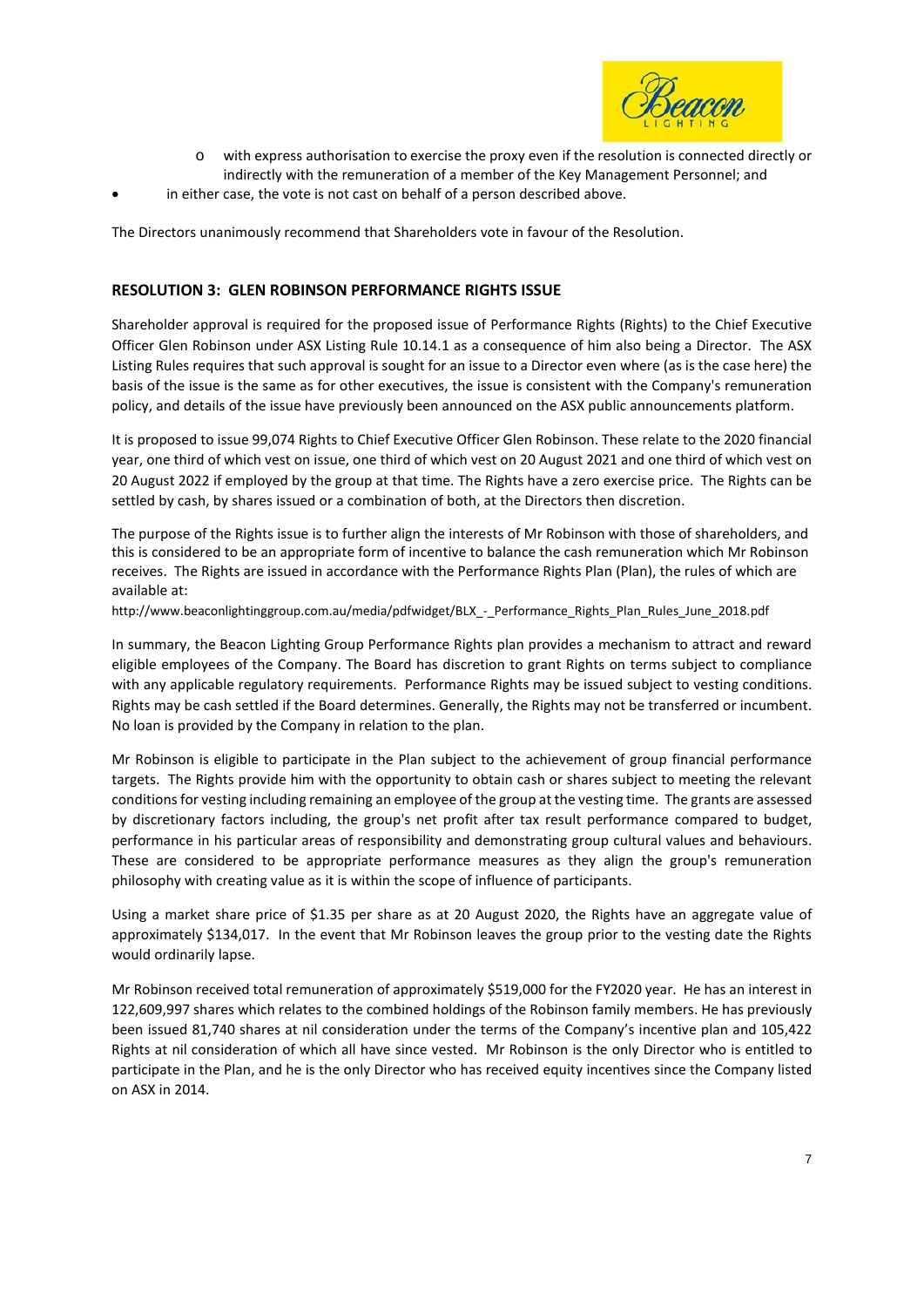

- o with express authorisation to exercise the proxy even if the resolution is connected directly or indirectly with the remuneration of a member of the Key Management Personnel; and
- in either case, the vote is not cast on behalf of a person described above.

The Directors unanimously recommend that Shareholders vote in favour of the Resolution.

#### **RESOLUTION 3: GLEN ROBINSON PERFORMANCE RIGHTS ISSUE**

Shareholder approval is required for the proposed issue of Performance Rights (Rights) to the Chief Executive Officer Glen Robinson under ASX Listing Rule 10.14.1 as a consequence of him also being a Director. The ASX Listing Rules requires that such approval is sought for an issue to a Director even where (as is the case here) the basis of the issue is the same as for other executives, the issue is consistent with the Company's remuneration policy, and details of the issue have previously been announced on the ASX public announcements platform.

It is proposed to issue 99,074 Rights to Chief Executive Officer Glen Robinson. These relate to the 2020 financial year, one third of which vest on issue, one third of which vest on 20 August 2021 and one third of which vest on 20 August 2022 if employed by the group at that time. The Rights have a zero exercise price. The Rights can be settled by cash, by shares issued or a combination of both, at the Directors then discretion.

The purpose of the Rights issue is to further align the interests of Mr Robinson with those of shareholders, and this is considered to be an appropriate form of incentive to balance the cash remuneration which Mr Robinson receives. The Rights are issued in accordance with the Performance Rights Plan (Plan), the rules of which are available at:

http://www.beaconlightinggroup.com.au/media/pdfwidget/BLX - Performance Rights Plan Rules June 2018.pdf

In summary, the Beacon Lighting Group Performance Rights plan provides a mechanism to attract and reward eligible employees of the Company. The Board has discretion to grant Rights on terms subject to compliance with any applicable regulatory requirements. Performance Rights may be issued subject to vesting conditions. Rights may be cash settled if the Board determines. Generally, the Rights may not be transferred or incumbent. No loan is provided by the Company in relation to the plan.

Mr Robinson is eligible to participate in the Plan subject to the achievement of group financial performance targets. The Rights provide him with the opportunity to obtain cash or shares subject to meeting the relevant conditions for vesting including remaining an employee of the group at the vesting time. The grants are assessed by discretionary factors including, the group's net profit after tax result performance compared to budget, performance in his particular areas of responsibility and demonstrating group cultural values and behaviours. These are considered to be appropriate performance measures as they align the group's remuneration philosophy with creating value as it is within the scope of influence of participants.

Using a market share price of \$1.35 per share as at 20 August 2020, the Rights have an aggregate value of approximately \$134,017. In the event that Mr Robinson leaves the group prior to the vesting date the Rights would ordinarily lapse.

Mr Robinson received total remuneration of approximately \$519,000 for the FY2020 year. He has an interest in 122,609,997 shares which relates to the combined holdings of the Robinson family members. He has previously been issued 81,740 shares at nil consideration under the terms of the Company's incentive plan and 105,422 Rights at nil consideration of which all have since vested. Mr Robinson is the only Director who is entitled to participate in the Plan, and he is the only Director who has received equity incentives since the Company listed on ASX in 2014.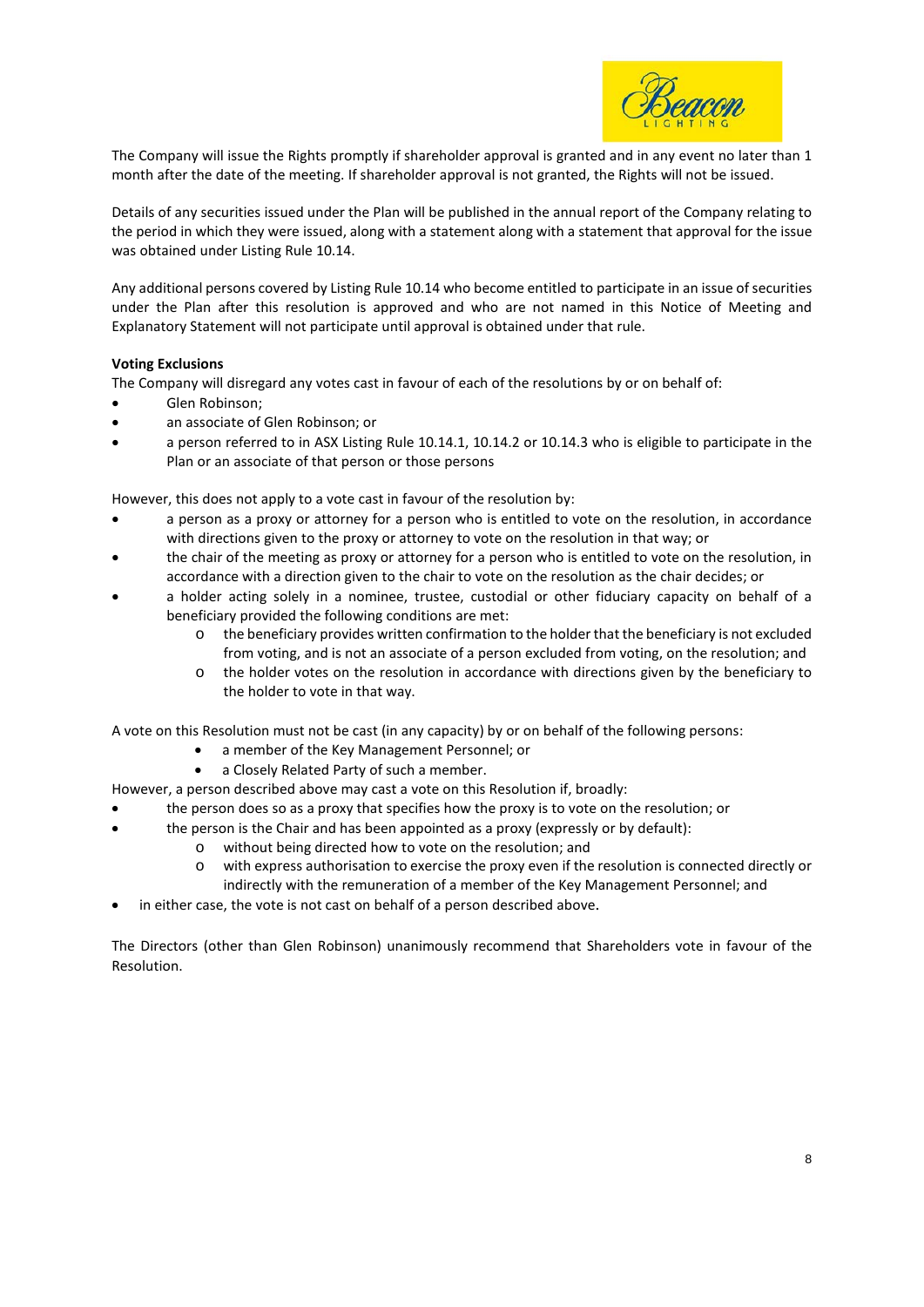

The Company will issue the Rights promptly if shareholder approval is granted and in any event no later than 1 month after the date of the meeting. If shareholder approval is not granted, the Rights will not be issued.

Details of any securities issued under the Plan will be published in the annual report of the Company relating to the period in which they were issued, along with a statement along with a statement that approval for the issue was obtained under Listing Rule 10.14.

Any additional persons covered by Listing Rule 10.14 who become entitled to participate in an issue of securities under the Plan after this resolution is approved and who are not named in this Notice of Meeting and Explanatory Statement will not participate until approval is obtained under that rule.

#### **Voting Exclusions**

The Company will disregard any votes cast in favour of each of the resolutions by or on behalf of:

- Glen Robinson;
- an associate of Glen Robinson; or
- a person referred to in ASX Listing Rule 10.14.1, 10.14.2 or 10.14.3 who is eligible to participate in the Plan or an associate of that person or those persons

However, this does not apply to a vote cast in favour of the resolution by:

- a person as a proxy or attorney for a person who is entitled to vote on the resolution, in accordance with directions given to the proxy or attorney to vote on the resolution in that way; or
- the chair of the meeting as proxy or attorney for a person who is entitled to vote on the resolution, in accordance with a direction given to the chair to vote on the resolution as the chair decides; or
- a holder acting solely in a nominee, trustee, custodial or other fiduciary capacity on behalf of a beneficiary provided the following conditions are met:
	- o the beneficiary provides written confirmation to the holder that the beneficiary is not excluded from voting, and is not an associate of a person excluded from voting, on the resolution; and
	- o the holder votes on the resolution in accordance with directions given by the beneficiary to the holder to vote in that way.

A vote on this Resolution must not be cast (in any capacity) by or on behalf of the following persons:

- a member of the Key Management Personnel; or
- a Closely Related Party of such a member.

However, a person described above may cast a vote on this Resolution if, broadly:

- the person does so as a proxy that specifies how the proxy is to vote on the resolution; or
- the person is the Chair and has been appointed as a proxy (expressly or by default):
	- o without being directed how to vote on the resolution; and
	- o with express authorisation to exercise the proxy even if the resolution is connected directly or indirectly with the remuneration of a member of the Key Management Personnel; and
- in either case, the vote is not cast on behalf of a person described above.

The Directors (other than Glen Robinson) unanimously recommend that Shareholders vote in favour of the Resolution.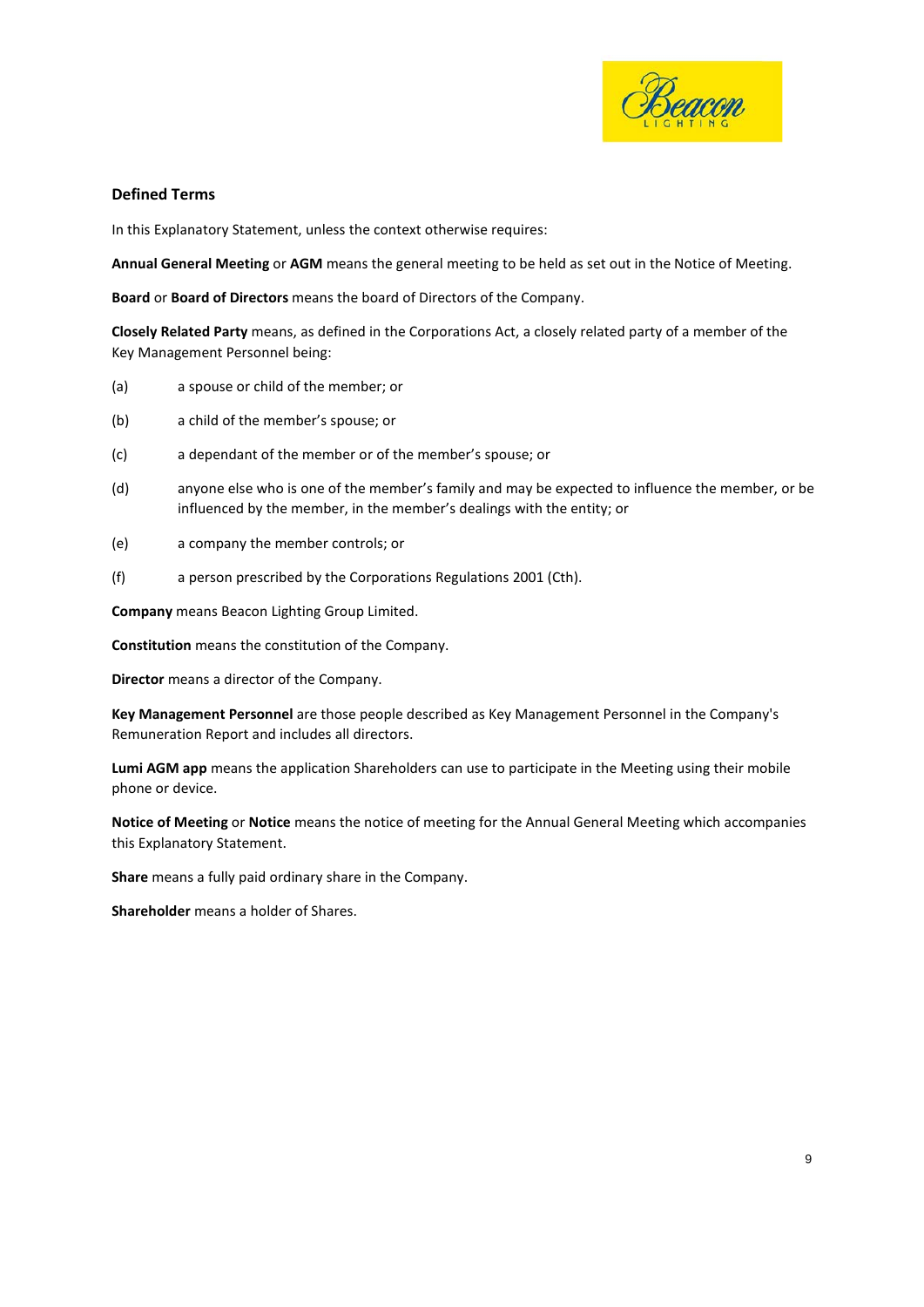

#### **Defined Terms**

In this Explanatory Statement, unless the context otherwise requires:

**Annual General Meeting** or **AGM** means the general meeting to be held as set out in the Notice of Meeting.

**Board** or **Board of Directors** means the board of Directors of the Company.

**Closely Related Party** means, as defined in the Corporations Act, a closely related party of a member of the Key Management Personnel being:

- (a) a spouse or child of the member; or
- (b) a child of the member's spouse; or
- (c) a dependant of the member or of the member's spouse; or
- (d) anyone else who is one of the member's family and may be expected to influence the member, or be influenced by the member, in the member's dealings with the entity; or
- (e) a company the member controls; or
- (f) a person prescribed by the Corporations Regulations 2001 (Cth).

**Company** means Beacon Lighting Group Limited.

**Constitution** means the constitution of the Company.

**Director** means a director of the Company.

**Key Management Personnel** are those people described as Key Management Personnel in the Company's Remuneration Report and includes all directors.

**Lumi AGM app** means the application Shareholders can use to participate in the Meeting using their mobile phone or device.

**Notice of Meeting** or **Notice** means the notice of meeting for the Annual General Meeting which accompanies this Explanatory Statement.

**Share** means a fully paid ordinary share in the Company.

**Shareholder** means a holder of Shares.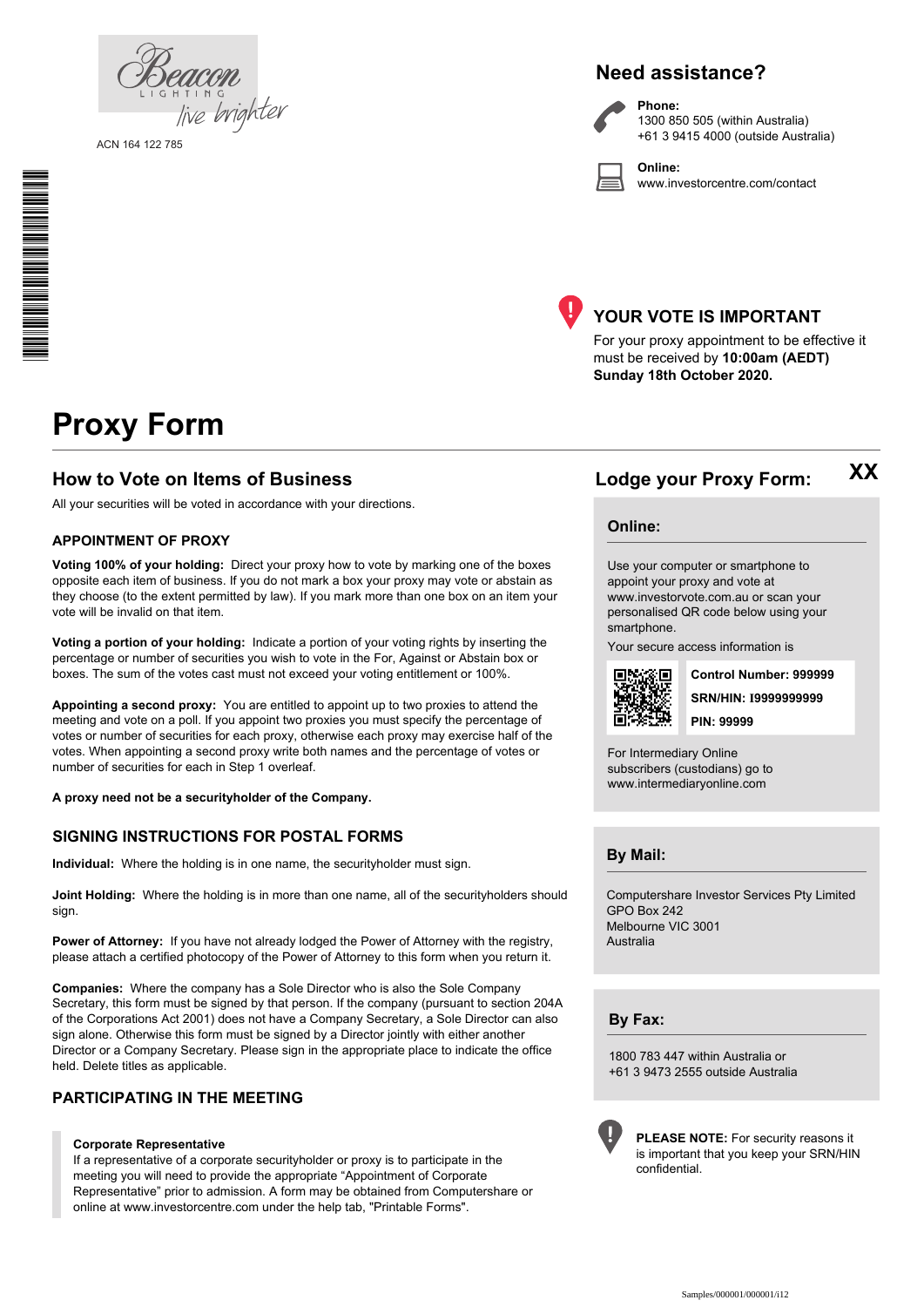| PHICHII,<br>1.1 G H T I N G |  |
|-----------------------------|--|
| live brighter               |  |
|                             |  |

ACN 164 122 785

\* S0000112<br>S0000112<br>S0000112

# **Need assistance?**

**Phone:**

**Online:**



1300 850 505 (within Australia) +61 3 9415 4000 (outside Australia)

www.investorcentre.com/contact



## **YOUR VOTE IS IMPORTANT**

For your proxy appointment to be effective it must be received by **10:00am (AEDT) Sunday 18th October 2020.**

# **Proxy Form**

### **How to Vote on Items of Business Lodge your Proxy Form:**

All your securities will be voted in accordance with your directions.

#### **APPOINTMENT OF PROXY**

**Voting 100% of your holding:** Direct your proxy how to vote by marking one of the boxes opposite each item of business. If you do not mark a box your proxy may vote or abstain as they choose (to the extent permitted by law). If you mark more than one box on an item your vote will be invalid on that item.

**Voting a portion of your holding:** Indicate a portion of your voting rights by inserting the percentage or number of securities you wish to vote in the For, Against or Abstain box or boxes. The sum of the votes cast must not exceed your voting entitlement or 100%.

**Appointing a second proxy:** You are entitled to appoint up to two proxies to attend the meeting and vote on a poll. If you appoint two proxies you must specify the percentage of votes or number of securities for each proxy, otherwise each proxy may exercise half of the votes. When appointing a second proxy write both names and the percentage of votes or number of securities for each in Step 1 overleaf.

**A proxy need not be a securityholder of the Company.**

#### **SIGNING INSTRUCTIONS FOR POSTAL FORMS**

**Individual:** Where the holding is in one name, the securityholder must sign.

**Joint Holding:** Where the holding is in more than one name, all of the securityholders should sign.

**Power of Attorney:** If you have not already lodged the Power of Attorney with the registry, please attach a certified photocopy of the Power of Attorney to this form when you return it.

**Companies:** Where the company has a Sole Director who is also the Sole Company Secretary, this form must be signed by that person. If the company (pursuant to section 204A of the Corporations Act 2001) does not have a Company Secretary, a Sole Director can also sign alone. Otherwise this form must be signed by a Director jointly with either another Director or a Company Secretary. Please sign in the appropriate place to indicate the office held. Delete titles as applicable.

#### **PARTICIPATING IN THE MEETING**

#### **Corporate Representative**

If a representative of a corporate securityholder or proxy is to participate in the meeting you will need to provide the appropriate "Appointment of Corporate Representative" prior to admission. A form may be obtained from Computershare or online at www.investorcentre.com under the help tab, "Printable Forms".

**Online:**

Use your computer or smartphone to appoint your proxy and vote at www.investorvote.com.au or scan your personalised QR code below using your smartphone.

Your secure access information is



**SRN/HIN: I9999999999 Control Number: 999999 PIN: 99999**

**XX**

For Intermediary Online subscribers (custodians) go to www.intermediaryonline.com

**By Mail:**

Computershare Investor Services Pty Limited GPO Box 242 Melbourne VIC 3001 Australia

**By Fax:**

1800 783 447 within Australia or +61 3 9473 2555 outside Australia



**PLEASE NOTE:** For security reasons it is important that you keep your SRN/HIN confidential.